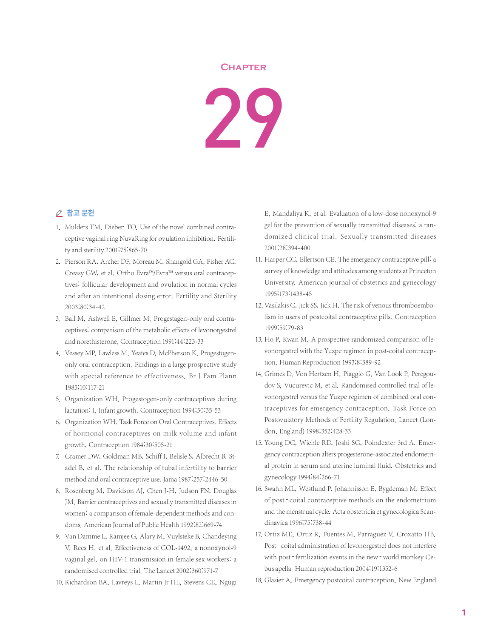## **Chapter**

29

## △ 참고 문헌

- 1. Mulders TM, Dieben TO. Use of the novel combined contraceptive vaginal ring NuvaRing for ovulation inhibition. Fertility and sterility 2001;75:865-70
- 2. Pierson RA, Archer DF, Moreau M, Shangold GA, Fisher AC, Creasy GW, et al. Ortho Evra™/Evra™ versus oral contraceptives: follicular development and ovulation in normal cycles and after an intentional dosing error. Fertility and Sterility 2003;80:34-42
- 3. Ball M, Ashwell E, Gillmer M. Progestagen-only oral contraceptives: comparison of the metabolic effects of levonorgestrel and norethisterone. Contraception 1991;44:223-33
- 4. Vessey MP, Lawless M, Yeates D, McPherson K, Progestogenonly oral contraception. Findings in a large prospective study with special reference to effectiveness. Br J Fam Plann 1985;10:117-21
- 5. Organization WH. Progestogen-only contraceptives during lactation: I. Infant growth. Contraception 1994;50:35-53
- 6. Organization WH. Task Force on Oral Contraceptives. Effects of hormonal contraceptives on milk volume and infant growth. Contraception 1984;30:505-21
- 7. Cramer DW, Goldman MB, Schiff I, Belisle S, Albrecht B, Stadel B, et al. The relationship of tubal infertility to barrier method and oral contraceptive use. Jama 1987;257:2446-50
- 8. Rosenberg M, Davidson AJ, Chen J-H, Judson FN, Douglas JM. Barrier contraceptives and sexually transmitted diseases in women: a comparison of female-dependent methods and condoms. American Journal of Public Health 1992;82:669-74
- 9. Van Damme L, Ramjee G, Alary M, Vuylsteke B, Chandeying V, Rees H, et al. Effectiveness of COL-1492, a nonoxynol-9 vaginal gel, on HIV-1 transmission in female sex workers: a randomised controlled trial. The Lancet 2002;360:971-7
- 10. Richardson BA, Lavreys L, Martin Jr HL, Stevens CE, Ngugi

E, Mandaliya K, et al. Evaluation of a low-dose nonoxynol-9 gel for the prevention of sexually transmitted diseases: a randomized clinical trial. Sexually transmitted diseases 2001;28:394-400

- 11. Harper CC, Ellertson CE. The emergency contraceptive pill: a survey of knowledge and attitudes among students at Princeton University. American journal of obstetrics and gynecology 1995;173:1438-45
- 12. Vasilakis C, Jick SS, Jick H. The risk of venous thromboembolism in users of postcoital contraceptive pills. Contraception 1999;59:79-83
- 13. Ho P, Kwan M. A prospective randomized comparison of levonorgestrel with the Yuzpe regimen in post-coital contraception. Human Reproduction 1993;8:389-92
- 14. Grimes D, Von Hertzen H, Piaggio G, Van Look P, Peregoudov S, Vucurevic M, et al. Randomised controlled trial of levonorgestrel versus the Yuzpe regimen of combined oral contraceptives for emergency contraception. Task Force on Postovulatory Methods of Fertility Regulation. Lancet (London, England) 1998;352:428-33
- 15. Young DC, Wiehle RD, Joshi SG, Poindexter 3rd A. Emergency contraception alters progesterone-associated endometrial protein in serum and uterine luminal fluid. Obstetrics and gynecology 1994;84:266-71
- 16. Swahn ML, Westlund P, Johannisson E, Bygdeman M. Effect of post-coital contraceptive methods on the endometrium and the menstrual cycle. Acta obstetricia et gynecologica Scandinavica 1996;75:738-44
- 17. Ortiz ME, Ortiz R, Fuentes M, Parraguez V, Croxatto HB. Post - coital administration of levonorgestrel does not interfere with post - fertilization events in the new - world monkey Cebus apella. Human reproduction 2004;19:1352-6
- 18. Glasier A. Emergency postcoital contraception. New England